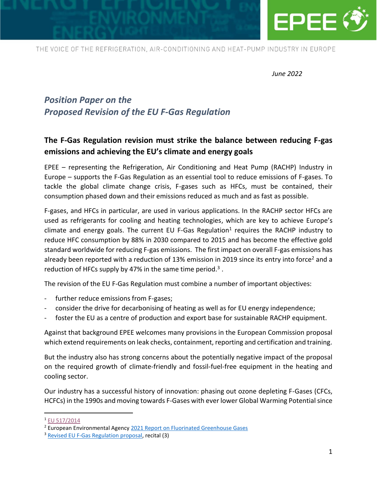

*June 2022*

# *Position Paper on the Proposed Revision of the EU F-Gas Regulation*

## **The F-Gas Regulation revision must strike the balance between reducing F-gas emissions and achieving the EU's climate and energy goals**

EPEE – representing the Refrigeration, Air Conditioning and Heat Pump (RACHP) Industry in Europe – supports the F-Gas Regulation as an essential tool to reduce emissions of F-gases. To tackle the global climate change crisis, F-gases such as HFCs, must be contained, their consumption phased down and their emissions reduced as much and as fast as possible.

F-gases, and HFCs in particular, are used in various applications. In the RACHP sector HFCs are used as refrigerants for cooling and heating technologies, which are key to achieve Europe's climate and energy goals. The current EU F-Gas Regulation<sup>1</sup> requires the RACHP industry to reduce HFC consumption by 88% in 2030 compared to 2015 and has become the effective gold standard worldwide for reducing F-gas emissions. The first impact on overall F-gas emissions has already been reported with a reduction of 13% emission in 2019 since its entry into force<sup>2</sup> and a reduction of HFCs supply by 47% in the same time period.<sup>3</sup>.

The revision of the EU F-Gas Regulation must combine a number of important objectives:

- further reduce emissions from F-gases;
- consider the drive for decarbonising of heating as well as for EU energy independence;
- foster the EU as a centre of production and export base for sustainable RACHP equipment.

Against that background EPEE welcomes many provisions in the European Commission proposal which extend requirements on leak checks, containment, reporting and certification and training.

But the industry also has strong concerns about the potentially negative impact of the proposal on the required growth of climate-friendly and fossil-fuel-free equipment in the heating and cooling sector.

Our industry has a successful history of innovation: phasing out ozone depleting F-Gases (CFCs, HCFCs) in the 1990s and moving towards F-Gases with ever lower Global Warming Potential since

<sup>1</sup> [EU 517/2014](https://eur-lex.europa.eu/legal-content/EN/TXT/PDF/?uri=CELEX:32014R0517&from=DE)

<sup>&</sup>lt;sup>2</sup> European Environmental Agenc[y 2021 Report on Fluorinated Greenhouse Gases](https://www.eea.europa.eu/publications/fluorinated-greenhouse-gases-2021)

<sup>&</sup>lt;sup>3</sup> [Revised EU F-Gas Regulation proposal,](https://eur-lex.europa.eu/resource.html?uri=cellar:ecf2b875-b59f-11ec-b6f4-01aa75ed71a1.0001.02/DOC_1&format=PDF) recital (3)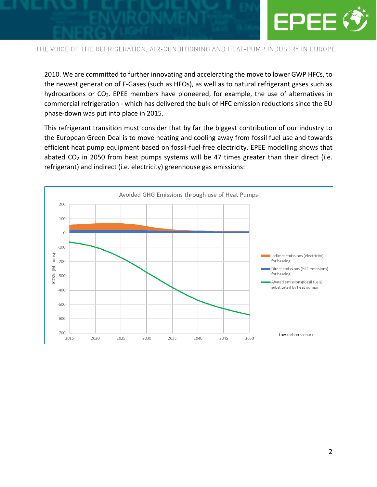

2010. We are committed to further innovating and accelerating the move to lower GWP HFCs, to the newest generation of F-Gases (such as HFOs), as well as to natural refrigerant gases such as hydrocarbons or  $CO<sub>2</sub>$ . EPEE members have pioneered, for example, the use of alternatives in commercial refrigeration - which has delivered the bulk of HFC emission reductions since the EU phase-down was put into place in 2015.

This refrigerant transition must consider that by far the biggest contribution of our industry to the European Green Deal is to move heating and cooling away from fossil fuel use and towards efficient heat pump equipment based on fossil-fuel-free electricity. EPEE modelling shows that abated  $CO<sub>2</sub>$  in 2050 from heat pumps systems will be 47 times greater than their direct (i.e. refrigerant) and indirect (i.e. electricity) greenhouse gas emissions:

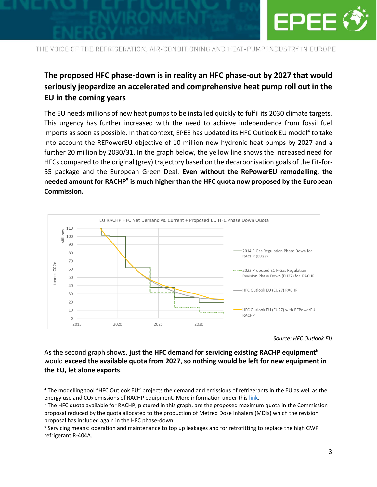

## **The proposed HFC phase-down is in reality an HFC phase-out by 2027 that would seriously jeopardize an accelerated and comprehensive heat pump roll out in the EU in the coming years**

The EU needs millions of new heat pumps to be installed quickly to fulfil its 2030 climate targets. This urgency has further increased with the need to achieve independence from fossil fuel imports as soon as possible. In that context, EPEE has updated its HFC Outlook EU model<sup>4</sup> to take into account the REPowerEU objective of 10 million new hydronic heat pumps by 2027 and a further 20 million by 2030/31. In the graph below, the yellow line shows the increased need for HFCs compared to the original (grey) trajectory based on the decarbonisation goals of the Fit-for-55 package and the European Green Deal. **Even without the RePowerEU remodelling, the needed amount for RACHP<sup>5</sup> is much higher than the HFC quota now proposed by the European Commission.**



*Source: HFC Outlook EU*

As the second graph shows, **just the HFC demand for servicing existing RACHP equipment<sup>6</sup>** would **exceed the available quota from 2027**, **so nothing would be left for new equipment in the EU, let alone exports**.

<sup>4</sup> The modelling tool "HFC Outlook EU" projects the demand and emissions of refrigerants in the EU as well as the energy use and  $CO<sub>2</sub>$  emissions of RACHP equipment. More information under thi[s link.](https://epeeglobal.org/hfc-outlook-eu/)

<sup>5</sup> The HFC quota available for RACHP, pictured in this graph, are the proposed maximum quota in the Commission proposal reduced by the quota allocated to the production of Metred Dose Inhalers (MDIs) which the revision proposal has included again in the HFC phase-down.

<sup>&</sup>lt;sup>6</sup> Servicing means: operation and maintenance to top up leakages and for retrofitting to replace the high GWP refrigerant R-404A.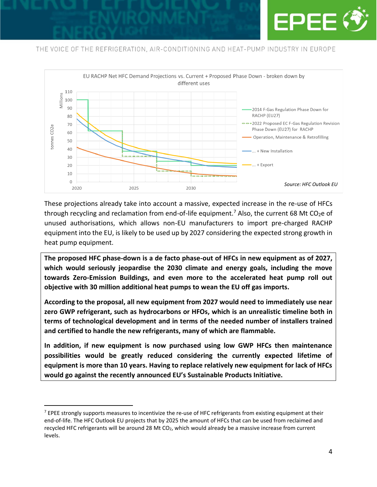



These projections already take into account a massive, expected increase in the re-use of HFCs through recycling and reclamation from end-of-life equipment.<sup>7</sup> Also, the current 68 Mt CO<sub>2</sub>e of unused authorisations, which allows non-EU manufacturers to import pre-charged RACHP equipment into the EU, is likely to be used up by 2027 considering the expected strong growth in heat pump equipment.

**The proposed HFC phase-down is a de facto phase-out of HFCs in new equipment as of 2027, which would seriously jeopardise the 2030 climate and energy goals, including the move towards Zero-Emission Buildings, and even more to the accelerated heat pump roll out objective with 30 million additional heat pumps to wean the EU off gas imports.** 

**According to the proposal, all new equipment from 2027 would need to immediately use near zero GWP refrigerant, such as hydrocarbons or HFOs, which is an unrealistic timeline both in terms of technological development and in terms of the needed number of installers trained and certified to handle the new refrigerants, many of which are flammable.**

**In addition, if new equipment is now purchased using low GWP HFCs then maintenance possibilities would be greatly reduced considering the currently expected lifetime of equipment is more than 10 years. Having to replace relatively new equipment for lack of HFCs would go against the recently announced EU's Sustainable Products Initiative.**

 $<sup>7</sup>$  EPEE strongly supports measures to incentivize the re-use of HFC refrigerants from existing equipment at their</sup> end-of-life. The HFC Outlook EU projects that by 2025 the amount of HFCs that can be used from reclaimed and recycled HFC refrigerants will be around 28 Mt CO<sub>2</sub>, which would already be a massive increase from current levels.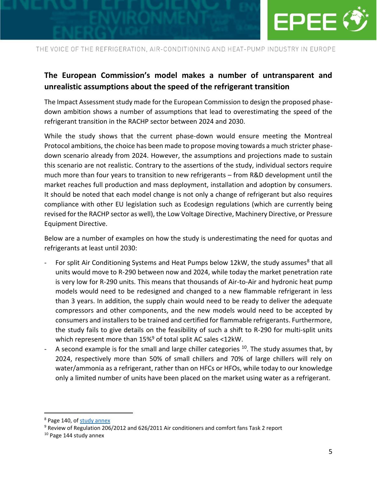

## **The European Commission's model makes a number of untransparent and unrealistic assumptions about the speed of the refrigerant transition**

The Impact Assessment study made for the European Commission to design the proposed phasedown ambition shows a number of assumptions that lead to overestimating the speed of the refrigerant transition in the RACHP sector between 2024 and 2030.

While the study shows that the current phase-down would ensure meeting the Montreal Protocol ambitions, the choice has been made to propose moving towards a much stricter phasedown scenario already from 2024. However, the assumptions and projections made to sustain this scenario are not realistic. Contrary to the assertions of the study, individual sectors require much more than four years to transition to new refrigerants – from R&D development until the market reaches full production and mass deployment, installation and adoption by consumers. It should be noted that each model change is not only a change of refrigerant but also requires compliance with other EU legislation such as Ecodesign regulations (which are currently being revised for the RACHP sector as well), the Low Voltage Directive, Machinery Directive, or Pressure Equipment Directive.

Below are a number of examples on how the study is underestimating the need for quotas and refrigerants at least until 2030:

- For split Air Conditioning Systems and Heat Pumps below 12kW, the study assumes<sup>8</sup> that all units would move to R-290 between now and 2024, while today the market penetration rate is very low for R-290 units. This means that thousands of Air-to-Air and hydronic heat pump models would need to be redesigned and changed to a new flammable refrigerant in less than 3 years. In addition, the supply chain would need to be ready to deliver the adequate compressors and other components, and the new models would need to be accepted by consumers and installers to be trained and certified for flammable refrigerants. Furthermore, the study fails to give details on the feasibility of such a shift to R-290 for multi-split units which represent more than 15%<sup>9</sup> of total split AC sales <12kW.
- A second example is for the small and large chiller categories  $10$ . The study assumes that, by 2024, respectively more than 50% of small chillers and 70% of large chillers will rely on water/ammonia as a refrigerant, rather than on HFCs or HFOs, while today to our knowledge only a limited number of units have been placed on the market using water as a refrigerant.

<sup>8</sup> Page 140, of [study annex](https://ec.europa.eu/clima/system/files/2022-04/f-gases_external_preparatory_study_annexes_en.pdf)

<sup>9</sup> Review of Regulation 206/2012 and 626/2011 Air conditioners and comfort fans Task 2 report

<sup>&</sup>lt;sup>10</sup> Page 144 study annex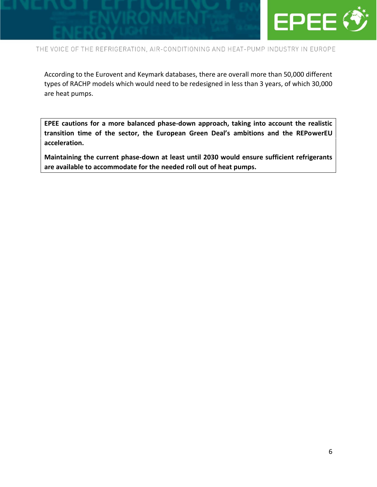

According to the Eurovent and Keymark databases, there are overall more than 50,000 different types of RACHP models which would need to be redesigned in less than 3 years, of which 30,000 are heat pumps.

**EPEE cautions for a more balanced phase-down approach, taking into account the realistic transition time of the sector, the European Green Deal's ambitions and the REPowerEU acceleration.** 

**Maintaining the current phase-down at least until 2030 would ensure sufficient refrigerants are available to accommodate for the needed roll out of heat pumps.**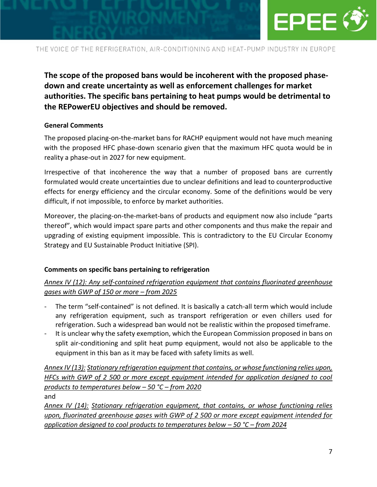

**The scope of the proposed bans would be incoherent with the proposed phasedown and create uncertainty as well as enforcement challenges for market authorities. The specific bans pertaining to heat pumps would be detrimental to the REPowerEU objectives and should be removed.**

#### **General Comments**

The proposed placing-on-the-market bans for RACHP equipment would not have much meaning with the proposed HFC phase-down scenario given that the maximum HFC quota would be in reality a phase-out in 2027 for new equipment.

Irrespective of that incoherence the way that a number of proposed bans are currently formulated would create uncertainties due to unclear definitions and lead to counterproductive effects for energy efficiency and the circular economy. Some of the definitions would be very difficult, if not impossible, to enforce by market authorities.

Moreover, the placing-on-the-market-bans of products and equipment now also include "parts thereof", which would impact spare parts and other components and thus make the repair and upgrading of existing equipment impossible. This is contradictory to the EU Circular Economy Strategy and EU Sustainable Product Initiative (SPI).

### **Comments on specific bans pertaining to refrigeration**

### *Annex IV (12): Any self-contained refrigeration equipment that contains fluorinated greenhouse gases with GWP of 150 or more – from 2025*

- The term "self-contained" is not defined. It is basically a catch-all term which would include any refrigeration equipment, such as transport refrigeration or even chillers used for refrigeration. Such a widespread ban would not be realistic within the proposed timeframe.
- It is unclear why the safety exemption, which the European Commission proposed in bans on split air-conditioning and split heat pump equipment, would not also be applicable to the equipment in this ban as it may be faced with safety limits as well.

### *Annex IV (13): Stationary refrigeration equipment that contains, or whose functioning relies upon, HFCs with GWP of 2 500 or more except equipment intended for application designed to cool products to temperatures below – 50 °C – from 2020*

and

*Annex IV (14): Stationary refrigeration equipment, that contains, or whose functioning relies upon, fluorinated greenhouse gases with GWP of 2 500 or more except equipment intended for application designed to cool products to temperatures below – 50 °C – from 2024*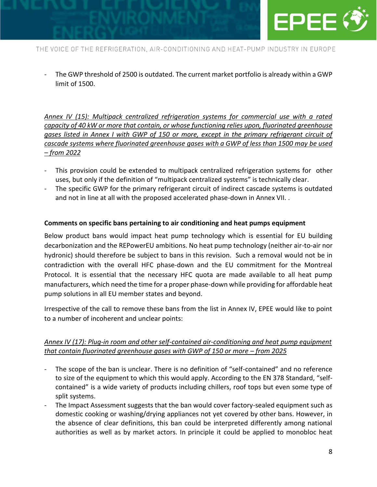

The GWP threshold of 2500 is outdated. The current market portfolio is already within a GWP limit of 1500.

*Annex IV (15): Multipack centralized refrigeration systems for commercial use with a rated capacity of 40 kW or more that contain, or whose functioning relies upon, fluorinated greenhouse gases listed in Annex I with GWP of 150 or more, except in the primary refrigerant circuit of cascade systems where fluorinated greenhouse gases with a GWP of less than 1500 may be used – from 2022*

- This provision could be extended to multipack centralized refrigeration systems for other uses, but only if the definition of "multipack centralized systems" is technically clear.
- The specific GWP for the primary refrigerant circuit of indirect cascade systems is outdated and not in line at all with the proposed accelerated phase-down in Annex VII. .

### **Comments on specific bans pertaining to air conditioning and heat pumps equipment**

Below product bans would impact heat pump technology which is essential for EU building decarbonization and the REPowerEU ambitions. No heat pump technology (neither air-to-air nor hydronic) should therefore be subject to bans in this revision. Such a removal would not be in contradiction with the overall HFC phase-down and the EU commitment for the Montreal Protocol. It is essential that the necessary HFC quota are made available to all heat pump manufacturers, which need the time for a proper phase-down while providing for affordable heat pump solutions in all EU member states and beyond.

Irrespective of the call to remove these bans from the list in Annex IV, EPEE would like to point to a number of incoherent and unclear points:

### *Annex IV (17): Plug-in room and other self-contained air-conditioning and heat pump equipment that contain fluorinated greenhouse gases with GWP of 150 or more – from 2025*

- The scope of the ban is unclear. There is no definition of "self-contained" and no reference to size of the equipment to which this would apply. According to the EN 378 Standard, "selfcontained" is a wide variety of products including chillers, roof tops but even some type of split systems.
- The Impact Assessment suggests that the ban would cover factory-sealed equipment such as domestic cooking or washing/drying appliances not yet covered by other bans. However, in the absence of clear definitions, this ban could be interpreted differently among national authorities as well as by market actors. In principle it could be applied to monobloc heat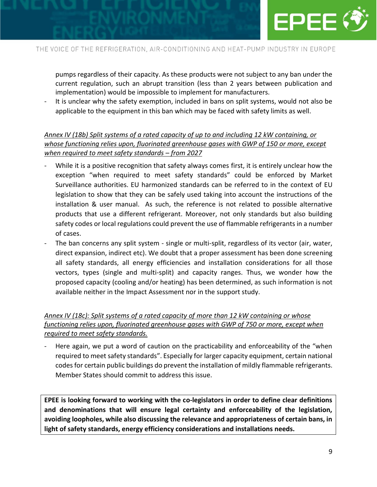

pumps regardless of their capacity. As these products were not subject to any ban under the current regulation, such an abrupt transition (less than 2 years between publication and implementation) would be impossible to implement for manufacturers.

It is unclear why the safety exemption, included in bans on split systems, would not also be applicable to the equipment in this ban which may be faced with safety limits as well.

### *Annex IV (18b) Split systems of a rated capacity of up to and including 12 kW containing, or whose functioning relies upon, fluorinated greenhouse gases with GWP of 150 or more, except when required to meet safety standards – from 2027*

- While it is a positive recognition that safety always comes first, it is entirely unclear how the exception "when required to meet safety standards" could be enforced by Market Surveillance authorities. EU harmonized standards can be referred to in the context of EU legislation to show that they can be safely used taking into account the instructions of the installation & user manual. As such, the reference is not related to possible alternative products that use a different refrigerant. Moreover, not only standards but also building safety codes or local regulations could prevent the use of flammable refrigerants in a number of cases.
- The ban concerns any split system single or multi-split, regardless of its vector (air, water, direct expansion, indirect etc). We doubt that a proper assessment has been done screening all safety standards, all energy efficiencies and installation considerations for all those vectors, types (single and multi-split) and capacity ranges. Thus, we wonder how the proposed capacity (cooling and/or heating) has been determined, as such information is not available neither in the Impact Assessment nor in the support study.

### *Annex IV (18c): Split systems of a rated capacity of more than 12 kW containing or whose functioning relies upon, fluorinated greenhouse gases with GWP of 750 or more, except when required to meet safety standards.*

Here again, we put a word of caution on the practicability and enforceability of the "when required to meet safety standards". Especially for larger capacity equipment, certain national codes for certain public buildings do prevent the installation of mildly flammable refrigerants. Member States should commit to address this issue.

**EPEE is looking forward to working with the co-legislators in order to define clear definitions and denominations that will ensure legal certainty and enforceability of the legislation, avoiding loopholes, while also discussing the relevance and appropriateness of certain bans, in light of safety standards, energy efficiency considerations and installations needs.**